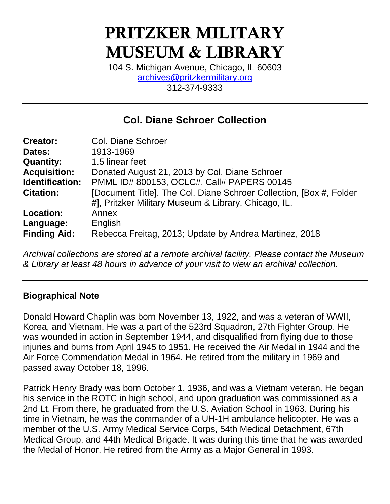# PRITZKER MILITARY MUSEUM & LIBRARY

104 S. Michigan Avenue, Chicago, IL 60603 [archives@pritzkermilitary.org](mailto:archives@pritzkermilitary.org) 312-374-9333

# **Col. Diane Schroer Collection**

| <b>Col. Diane Schroer</b>                                            |
|----------------------------------------------------------------------|
| 1913-1969                                                            |
| 1.5 linear feet                                                      |
| Donated August 21, 2013 by Col. Diane Schroer                        |
| PMML ID# 800153, OCLC#, Call# PAPERS 00145                           |
| [Document Title]. The Col. Diane Schroer Collection, [Box #, Folder] |
| #], Pritzker Military Museum & Library, Chicago, IL.                 |
| Annex                                                                |
| English                                                              |
| Rebecca Freitag, 2013; Update by Andrea Martinez, 2018               |
|                                                                      |

*Archival collections are stored at a remote archival facility. Please contact the Museum & Library at least 48 hours in advance of your visit to view an archival collection.*

# **Biographical Note**

Donald Howard Chaplin was born November 13, 1922, and was a veteran of WWII, Korea, and Vietnam. He was a part of the 523rd Squadron, 27th Fighter Group. He was wounded in action in September 1944, and disqualified from flying due to those injuries and burns from April 1945 to 1951. He received the Air Medal in 1944 and the Air Force Commendation Medal in 1964. He retired from the military in 1969 and passed away October 18, 1996.

Patrick Henry Brady was born October 1, 1936, and was a Vietnam veteran. He began his service in the ROTC in high school, and upon graduation was commissioned as a 2nd Lt. From there, he graduated from the U.S. Aviation School in 1963. During his time in Vietnam, he was the commander of a UH-1H ambulance helicopter. He was a member of the U.S. Army Medical Service Corps, 54th Medical Detachment, 67th Medical Group, and 44th Medical Brigade. It was during this time that he was awarded the Medal of Honor. He retired from the Army as a Major General in 1993.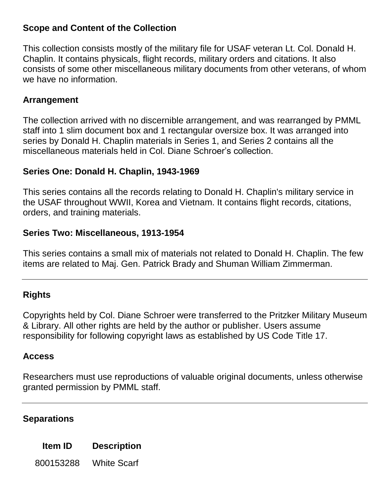### **Scope and Content of the Collection**

This collection consists mostly of the military file for USAF veteran Lt. Col. Donald H. Chaplin. It contains physicals, flight records, military orders and citations. It also consists of some other miscellaneous military documents from other veterans, of whom we have no information.

### **Arrangement**

The collection arrived with no discernible arrangement, and was rearranged by PMML staff into 1 slim document box and 1 rectangular oversize box. It was arranged into series by Donald H. Chaplin materials in Series 1, and Series 2 contains all the miscellaneous materials held in Col. Diane Schroer's collection.

## **Series One: Donald H. Chaplin, 1943-1969**

This series contains all the records relating to Donald H. Chaplin's military service in the USAF throughout WWII, Korea and Vietnam. It contains flight records, citations, orders, and training materials.

### **Series Two: Miscellaneous, 1913-1954**

This series contains a small mix of materials not related to Donald H. Chaplin. The few items are related to Maj. Gen. Patrick Brady and Shuman William Zimmerman.

# **Rights**

Copyrights held by Col. Diane Schroer were transferred to the Pritzker Military Museum & Library. All other rights are held by the author or publisher. Users assume responsibility for following copyright laws as established by US Code Title 17.

### **Access**

Researchers must use reproductions of valuable original documents, unless otherwise granted permission by PMML staff.

### **Separations**

**Item ID Description**

800153288 White Scarf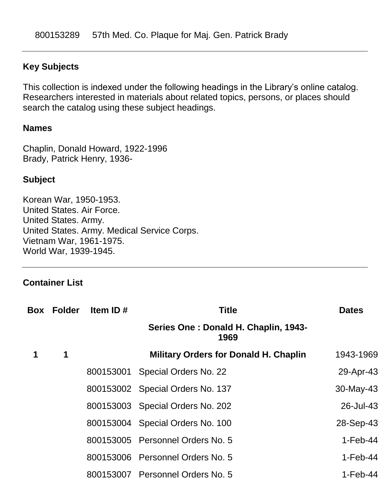#### **Key Subjects**

This collection is indexed under the following headings in the Library's online catalog. Researchers interested in materials about related topics, persons, or places should search the catalog using these subject headings.

#### **Names**

Chaplin, Donald Howard, 1922-1996 Brady, Patrick Henry, 1936-

#### **Subject**

Korean War, 1950-1953. United States. Air Force. United States. Army. United States. Army. Medical Service Corps. Vietnam War, 1961-1975. World War, 1939-1945.

#### **Container List**

|   | <b>Box Folder</b> | Item ID $#$ | <b>Title</b>                                 | <b>Dates</b> |
|---|-------------------|-------------|----------------------------------------------|--------------|
|   |                   |             | Series One: Donald H. Chaplin, 1943-<br>1969 |              |
| 1 | $\mathbf 1$       |             | <b>Military Orders for Donald H. Chaplin</b> | 1943-1969    |
|   |                   | 800153001   | Special Orders No. 22                        | 29-Apr-43    |
|   |                   |             | 800153002 Special Orders No. 137             | $30$ -May-43 |
|   |                   |             | 800153003 Special Orders No. 202             | 26-Jul-43    |
|   |                   |             | 800153004 Special Orders No. 100             | 28-Sep-43    |
|   |                   |             | 800153005 Personnel Orders No. 5             | $1-Feb-44$   |
|   |                   |             | 800153006 Personnel Orders No. 5             | $1-Feb-44$   |
|   |                   |             | 800153007 Personnel Orders No. 5             | $1-Feb-44$   |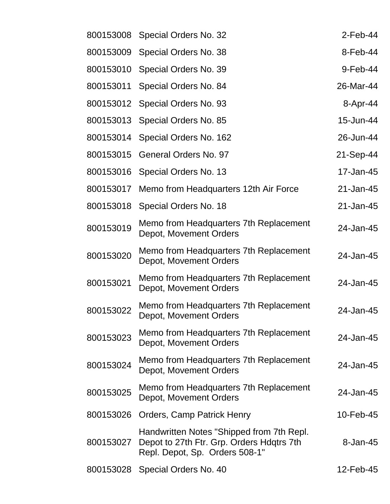| 800153008 | Special Orders No. 32                                                                                                    | $2$ -Feb-44 |
|-----------|--------------------------------------------------------------------------------------------------------------------------|-------------|
| 800153009 | Special Orders No. 38                                                                                                    | 8-Feb-44    |
| 800153010 | Special Orders No. 39                                                                                                    | 9-Feb-44    |
| 800153011 | Special Orders No. 84                                                                                                    | 26-Mar-44   |
| 800153012 | Special Orders No. 93                                                                                                    | 8-Apr-44    |
| 800153013 | Special Orders No. 85                                                                                                    | 15-Jun-44   |
| 800153014 | Special Orders No. 162                                                                                                   | 26-Jun-44   |
| 800153015 | <b>General Orders No. 97</b>                                                                                             | 21-Sep-44   |
| 800153016 | Special Orders No. 13                                                                                                    | 17-Jan-45   |
| 800153017 | Memo from Headquarters 12th Air Force                                                                                    | 21-Jan-45   |
| 800153018 | Special Orders No. 18                                                                                                    | 21-Jan-45   |
| 800153019 | Memo from Headquarters 7th Replacement<br>Depot, Movement Orders                                                         | 24-Jan-45   |
| 800153020 | Memo from Headquarters 7th Replacement<br>Depot, Movement Orders                                                         | 24-Jan-45   |
| 800153021 | Memo from Headquarters 7th Replacement<br>Depot, Movement Orders                                                         | 24-Jan-45   |
| 800153022 | Memo from Headquarters 7th Replacement<br>Depot, Movement Orders                                                         | 24-Jan-45   |
| 800153023 | Memo from Headquarters 7th Replacement<br>Depot, Movement Orders                                                         | 24-Jan-45   |
| 800153024 | Memo from Headquarters 7th Replacement<br>Depot, Movement Orders                                                         | 24-Jan-45   |
| 800153025 | Memo from Headquarters 7th Replacement<br>Depot, Movement Orders                                                         | 24-Jan-45   |
| 800153026 | <b>Orders, Camp Patrick Henry</b>                                                                                        | 10-Feb-45   |
| 800153027 | Handwritten Notes "Shipped from 7th Repl.<br>Depot to 27th Ftr. Grp. Orders Hdqtrs 7th<br>Repl. Depot, Sp. Orders 508-1" | 8-Jan-45    |
| 800153028 | Special Orders No. 40                                                                                                    | 12-Feb-45   |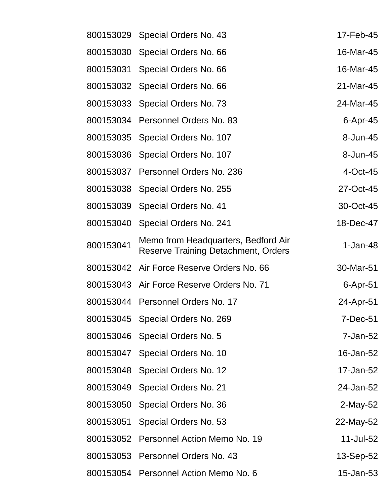| 800153029 | Special Orders No. 43                                                             | 17-Feb-45   |
|-----------|-----------------------------------------------------------------------------------|-------------|
| 800153030 | Special Orders No. 66                                                             | 16-Mar-45   |
| 800153031 | Special Orders No. 66                                                             | 16-Mar-45   |
| 800153032 | Special Orders No. 66                                                             | 21-Mar-45   |
| 800153033 | Special Orders No. 73                                                             | 24-Mar-45   |
| 800153034 | Personnel Orders No. 83                                                           | $6$ -Apr-45 |
| 800153035 | Special Orders No. 107                                                            | 8-Jun-45    |
| 800153036 | Special Orders No. 107                                                            | 8-Jun-45    |
| 800153037 | Personnel Orders No. 236                                                          | 4-Oct-45    |
| 800153038 | Special Orders No. 255                                                            | 27-Oct-45   |
| 800153039 | Special Orders No. 41                                                             | 30-Oct-45   |
| 800153040 | Special Orders No. 241                                                            | 18-Dec-47   |
| 800153041 | Memo from Headquarters, Bedford Air<br><b>Reserve Training Detachment, Orders</b> | 1-Jan-48    |
| 800153042 | Air Force Reserve Orders No. 66                                                   | 30-Mar-51   |
|           | 800153043 Air Force Reserve Orders No. 71                                         | 6-Apr-51    |
| 800153044 | Personnel Orders No. 17                                                           | 24-Apr-51   |
|           | 800153045 Special Orders No. 269                                                  | 7-Dec-51    |
| 800153046 | Special Orders No. 5                                                              | 7-Jan-52    |
| 800153047 | Special Orders No. 10                                                             | 16-Jan-52   |
| 800153048 | Special Orders No. 12                                                             | 17-Jan-52   |
| 800153049 | Special Orders No. 21                                                             | 24-Jan-52   |
| 800153050 | Special Orders No. 36                                                             | 2-May-52    |
| 800153051 | Special Orders No. 53                                                             | 22-May-52   |
| 800153052 | Personnel Action Memo No. 19                                                      | 11-Jul-52   |
| 800153053 | Personnel Orders No. 43                                                           | 13-Sep-52   |
| 800153054 | Personnel Action Memo No. 6                                                       | 15-Jan-53   |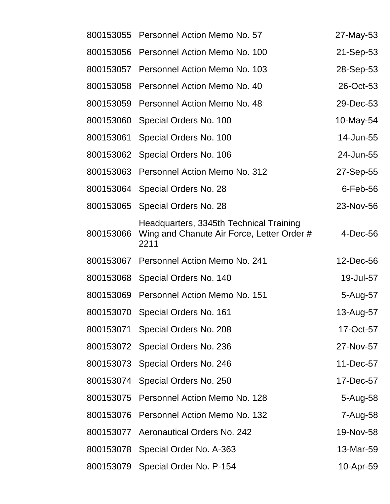| 800153055 | Personnel Action Memo No. 57                                                                  | 27-May-53   |
|-----------|-----------------------------------------------------------------------------------------------|-------------|
| 800153056 | Personnel Action Memo No. 100                                                                 | 21-Sep-53   |
| 800153057 | Personnel Action Memo No. 103                                                                 | 28-Sep-53   |
| 800153058 | Personnel Action Memo No. 40                                                                  | 26-Oct-53   |
| 800153059 | Personnel Action Memo No. 48                                                                  | 29-Dec-53   |
| 800153060 | Special Orders No. 100                                                                        | 10-May-54   |
| 800153061 | Special Orders No. 100                                                                        | 14-Jun-55   |
| 800153062 | Special Orders No. 106                                                                        | 24-Jun-55   |
| 800153063 | Personnel Action Memo No. 312                                                                 | 27-Sep-55   |
| 800153064 | Special Orders No. 28                                                                         | $6$ -Feb-56 |
| 800153065 | Special Orders No. 28                                                                         | 23-Nov-56   |
| 800153066 | Headquarters, 3345th Technical Training<br>Wing and Chanute Air Force, Letter Order #<br>2211 | $4$ -Dec-56 |
| 800153067 | Personnel Action Memo No. 241                                                                 | 12-Dec-56   |
| 800153068 | Special Orders No. 140                                                                        | 19-Jul-57   |
| 800153069 | Personnel Action Memo No. 151                                                                 | 5-Aug-57    |
| 800153070 | Special Orders No. 161                                                                        | 13-Aug-57   |
| 800153071 | Special Orders No. 208                                                                        | 17-Oct-57   |
| 800153072 | Special Orders No. 236                                                                        | 27-Nov-57   |
| 800153073 | Special Orders No. 246                                                                        | 11-Dec-57   |
| 800153074 | Special Orders No. 250                                                                        | 17-Dec-57   |
| 800153075 | Personnel Action Memo No. 128                                                                 | 5-Aug-58    |
| 800153076 | Personnel Action Memo No. 132                                                                 | 7-Aug-58    |
| 800153077 | <b>Aeronautical Orders No. 242</b>                                                            | 19-Nov-58   |
| 800153078 | Special Order No. A-363                                                                       | 13-Mar-59   |
| 800153079 | Special Order No. P-154                                                                       | 10-Apr-59   |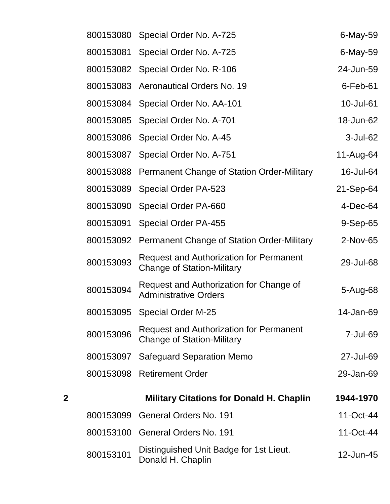|   | 800153080 | Special Order No. A-725                                                             | 6-May-59       |
|---|-----------|-------------------------------------------------------------------------------------|----------------|
|   | 800153081 | Special Order No. A-725                                                             | 6-May-59       |
|   | 800153082 | Special Order No. R-106                                                             | 24-Jun-59      |
|   | 800153083 | <b>Aeronautical Orders No. 19</b>                                                   | $6$ -Feb-61    |
|   | 800153084 | Special Order No. AA-101                                                            | 10-Jul-61      |
|   | 800153085 | Special Order No. A-701                                                             | 18-Jun-62      |
|   | 800153086 | Special Order No. A-45                                                              | 3-Jul-62       |
|   | 800153087 | Special Order No. A-751                                                             | 11-Aug-64      |
|   | 800153088 | <b>Permanent Change of Station Order-Military</b>                                   | 16-Jul-64      |
|   | 800153089 | Special Order PA-523                                                                | 21-Sep-64      |
|   | 800153090 | Special Order PA-660                                                                | $4$ -Dec-64    |
|   | 800153091 | <b>Special Order PA-455</b>                                                         | $9-$ Sep $-65$ |
|   | 800153092 | Permanent Change of Station Order-Military                                          | 2-Nov-65       |
|   | 800153093 | <b>Request and Authorization for Permanent</b><br><b>Change of Station-Military</b> | 29-Jul-68      |
|   | 800153094 | Request and Authorization for Change of<br><b>Administrative Orders</b>             | 5-Aug-68       |
|   | 800153095 | <b>Special Order M-25</b>                                                           | 14-Jan-69      |
|   | 800153096 | Request and Authorization for Permanent<br><b>Change of Station-Military</b>        | 7-Jul-69       |
|   | 800153097 | <b>Safeguard Separation Memo</b>                                                    | 27-Jul-69      |
|   | 800153098 | <b>Retirement Order</b>                                                             | 29-Jan-69      |
| 2 |           | <b>Military Citations for Donald H. Chaplin</b>                                     | 1944-1970      |
|   | 800153099 | General Orders No. 191                                                              | 11-Oct-44      |
|   | 800153100 | <b>General Orders No. 191</b>                                                       | 11-Oct-44      |
|   | 800153101 | Distinguished Unit Badge for 1st Lieut.<br>Donald H. Chaplin                        | 12-Jun-45      |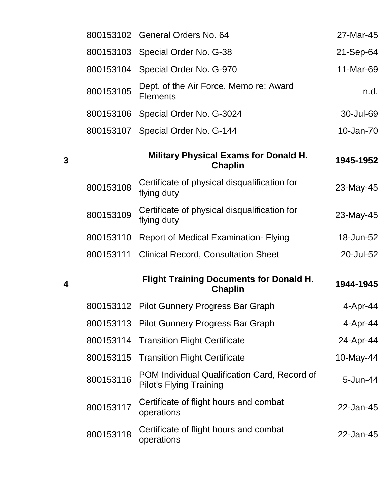|           | 800153102 General Orders No. 64                                                | 27-Mar-45 |
|-----------|--------------------------------------------------------------------------------|-----------|
| 800153103 | Special Order No. G-38                                                         | 21-Sep-64 |
| 800153104 | Special Order No. G-970                                                        | 11-Mar-69 |
| 800153105 | Dept. of the Air Force, Memo re: Award<br><b>Elements</b>                      | n.d.      |
| 800153106 | Special Order No. G-3024                                                       | 30-Jul-69 |
| 800153107 | Special Order No. G-144                                                        | 10-Jan-70 |
|           | <b>Military Physical Exams for Donald H.</b><br><b>Chaplin</b>                 | 1945-1952 |
| 800153108 | Certificate of physical disqualification for<br>flying duty                    | 23-May-45 |
| 800153109 | Certificate of physical disqualification for<br>flying duty                    | 23-May-45 |
| 800153110 | <b>Report of Medical Examination- Flying</b>                                   | 18-Jun-52 |
| 800153111 | <b>Clinical Record, Consultation Sheet</b>                                     | 20-Jul-52 |
|           | <b>Flight Training Documents for Donald H.</b><br>Chaplin                      | 1944-1945 |
|           | 800153112 Pilot Gunnery Progress Bar Graph                                     | 4-Apr-44  |
| 800153113 | <b>Pilot Gunnery Progress Bar Graph</b>                                        | 4-Apr-44  |
| 800153114 | <b>Transition Flight Certificate</b>                                           | 24-Apr-44 |
| 800153115 | <b>Transition Flight Certificate</b>                                           | 10-May-44 |
| 800153116 | POM Individual Qualification Card, Record of<br><b>Pilot's Flying Training</b> | 5-Jun-44  |
| 800153117 | Certificate of flight hours and combat<br>operations                           | 22-Jan-45 |
| 800153118 | Certificate of flight hours and combat<br>operations                           | 22-Jan-45 |

**3**

**4**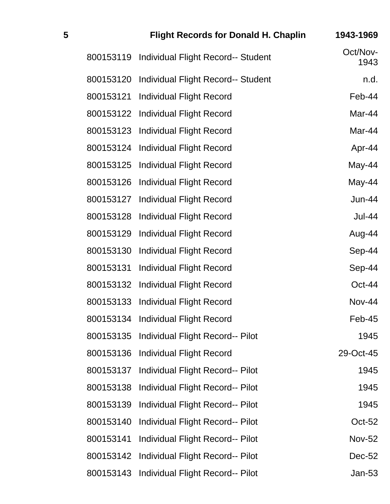| 5 |           | <b>Flight Records for Donald H. Chaplin</b> | 1943-1969        |
|---|-----------|---------------------------------------------|------------------|
|   | 800153119 | <b>Individual Flight Record-- Student</b>   | Oct/Nov-<br>1943 |
|   | 800153120 | <b>Individual Flight Record-- Student</b>   | n.d.             |
|   | 800153121 | <b>Individual Flight Record</b>             | Feb-44           |
|   | 800153122 | <b>Individual Flight Record</b>             | Mar-44           |
|   | 800153123 | <b>Individual Flight Record</b>             | Mar-44           |
|   | 800153124 | <b>Individual Flight Record</b>             | Apr-44           |
|   | 800153125 | <b>Individual Flight Record</b>             | May-44           |
|   | 800153126 | <b>Individual Flight Record</b>             | May-44           |
|   | 800153127 | <b>Individual Flight Record</b>             | <b>Jun-44</b>    |
|   | 800153128 | <b>Individual Flight Record</b>             | <b>Jul-44</b>    |
|   | 800153129 | <b>Individual Flight Record</b>             | Aug-44           |
|   | 800153130 | <b>Individual Flight Record</b>             | Sep-44           |
|   | 800153131 | <b>Individual Flight Record</b>             | Sep-44           |
|   | 800153132 | <b>Individual Flight Record</b>             | Oct-44           |
|   | 800153133 | <b>Individual Flight Record</b>             | <b>Nov-44</b>    |
|   | 800153134 | <b>Individual Flight Record</b>             | Feb-45           |
|   | 800153135 | Individual Flight Record-- Pilot            | 1945             |
|   | 800153136 | <b>Individual Flight Record</b>             | 29-Oct-45        |
|   | 800153137 | Individual Flight Record-- Pilot            | 1945             |
|   | 800153138 | <b>Individual Flight Record-- Pilot</b>     | 1945             |
|   | 800153139 | Individual Flight Record-- Pilot            | 1945             |
|   | 800153140 | Individual Flight Record-- Pilot            | Oct-52           |
|   | 800153141 | Individual Flight Record-- Pilot            | <b>Nov-52</b>    |
|   | 800153142 | Individual Flight Record-- Pilot            | <b>Dec-52</b>    |
|   | 800153143 | <b>Individual Flight Record-- Pilot</b>     | $Jan-53$         |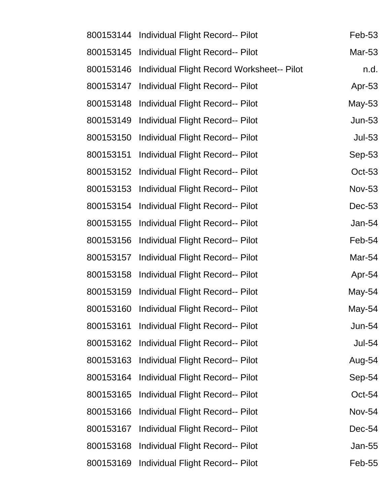| 800153144 | <b>Individual Flight Record-- Pilot</b>           | <b>Feb-53</b> |
|-----------|---------------------------------------------------|---------------|
| 800153145 | Individual Flight Record-- Pilot                  | Mar-53        |
| 800153146 | <b>Individual Flight Record Worksheet-- Pilot</b> | n.d.          |
| 800153147 | Individual Flight Record-- Pilot                  | Apr-53        |
| 800153148 | Individual Flight Record-- Pilot                  | May-53        |
| 800153149 | <b>Individual Flight Record-- Pilot</b>           | <b>Jun-53</b> |
| 800153150 | Individual Flight Record-- Pilot                  | <b>Jul-53</b> |
| 800153151 | Individual Flight Record-- Pilot                  | Sep-53        |
| 800153152 | Individual Flight Record-- Pilot                  | <b>Oct-53</b> |
| 800153153 | Individual Flight Record-- Pilot                  | <b>Nov-53</b> |
| 800153154 | Individual Flight Record-- Pilot                  | Dec-53        |
| 800153155 | Individual Flight Record-- Pilot                  | Jan-54        |
| 800153156 | Individual Flight Record-- Pilot                  | Feb-54        |
| 800153157 | Individual Flight Record-- Pilot                  | Mar-54        |
| 800153158 | Individual Flight Record-- Pilot                  | Apr-54        |
| 800153159 | Individual Flight Record-- Pilot                  | May-54        |
| 800153160 | Individual Flight Record-- Pilot                  | May-54        |
| 800153161 | Individual Flight Record-- Pilot                  | <b>Jun-54</b> |
| 800153162 | <b>Individual Flight Record-- Pilot</b>           | <b>Jul-54</b> |
| 800153163 | Individual Flight Record-- Pilot                  | Aug-54        |
| 800153164 | <b>Individual Flight Record-- Pilot</b>           | Sep-54        |
| 800153165 | <b>Individual Flight Record-- Pilot</b>           | Oct-54        |
| 800153166 | Individual Flight Record-- Pilot                  | <b>Nov-54</b> |
| 800153167 | <b>Individual Flight Record-- Pilot</b>           | Dec-54        |
| 800153168 | <b>Individual Flight Record-- Pilot</b>           | Jan-55        |
| 800153169 | <b>Individual Flight Record-- Pilot</b>           | Feb-55        |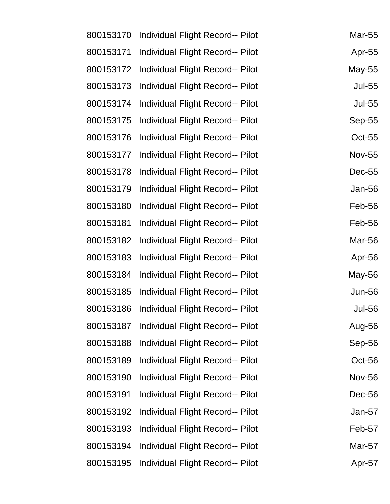| 800153170 | Individual Flight Record-- Pilot        | Mar-55        |
|-----------|-----------------------------------------|---------------|
| 800153171 | <b>Individual Flight Record-- Pilot</b> | Apr-55        |
| 800153172 | Individual Flight Record-- Pilot        | May-55        |
| 800153173 | Individual Flight Record-- Pilot        | <b>Jul-55</b> |
| 800153174 | Individual Flight Record-- Pilot        | <b>Jul-55</b> |
| 800153175 | Individual Flight Record-- Pilot        | Sep-55        |
| 800153176 | Individual Flight Record-- Pilot        | <b>Oct-55</b> |
| 800153177 | Individual Flight Record-- Pilot        | <b>Nov-55</b> |
| 800153178 | Individual Flight Record-- Pilot        | Dec-55        |
| 800153179 | Individual Flight Record-- Pilot        | <b>Jan-56</b> |
| 800153180 | Individual Flight Record-- Pilot        | Feb-56        |
| 800153181 | Individual Flight Record-- Pilot        | Feb-56        |
| 800153182 | <b>Individual Flight Record-- Pilot</b> | Mar-56        |
| 800153183 | Individual Flight Record-- Pilot        | Apr-56        |
| 800153184 | Individual Flight Record-- Pilot        | May-56        |
| 800153185 | Individual Flight Record-- Pilot        | <b>Jun-56</b> |
| 800153186 | Individual Flight Record-- Pilot        | <b>Jul-56</b> |
| 800153187 | Individual Flight Record-- Pilot        | Aug-56        |
| 800153188 | Individual Flight Record-- Pilot        | Sep-56        |
| 800153189 | Individual Flight Record-- Pilot        | Oct-56        |
| 800153190 | Individual Flight Record-- Pilot        | <b>Nov-56</b> |
| 800153191 | Individual Flight Record-- Pilot        | Dec-56        |
| 800153192 | Individual Flight Record-- Pilot        | Jan-57        |
| 800153193 | <b>Individual Flight Record-- Pilot</b> | Feb-57        |
| 800153194 | Individual Flight Record-- Pilot        | Mar-57        |
| 800153195 | <b>Individual Flight Record-- Pilot</b> | Apr-57        |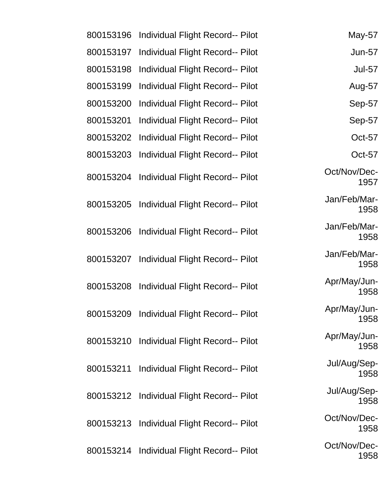| May-57               | <b>Individual Flight Record-- Pilot</b>    | 800153196 |
|----------------------|--------------------------------------------|-----------|
| <b>Jun-57</b>        | Individual Flight Record-- Pilot           | 800153197 |
| <b>Jul-57</b>        | <b>Individual Flight Record-- Pilot</b>    | 800153198 |
| Aug-57               | Individual Flight Record-- Pilot           | 800153199 |
| Sep-57               | Individual Flight Record-- Pilot           | 800153200 |
| Sep-57               | Individual Flight Record-- Pilot           | 800153201 |
| Oct-57               | Individual Flight Record-- Pilot           | 800153202 |
| Oct-57               | Individual Flight Record-- Pilot           | 800153203 |
| Oct/Nov/Dec-<br>1957 | Individual Flight Record-- Pilot           | 800153204 |
| Jan/Feb/Mar-<br>1958 | 800153205 Individual Flight Record-- Pilot |           |
| Jan/Feb/Mar-<br>1958 | Individual Flight Record-- Pilot           | 800153206 |
| Jan/Feb/Mar-<br>1958 | 800153207 Individual Flight Record-- Pilot |           |
| Apr/May/Jun-<br>1958 | 800153208 Individual Flight Record-- Pilot |           |
| Apr/May/Jun-<br>1958 | 800153209 Individual Flight Record-- Pilot |           |
| Apr/May/Jun-<br>1958 | 800153210 Individual Flight Record-- Pilot |           |
| Jul/Aug/Sep-<br>1958 | Individual Flight Record-- Pilot           | 800153211 |
| Jul/Aug/Sep-<br>1958 | 800153212 Individual Flight Record-- Pilot |           |
| Oct/Nov/Dec-<br>1958 | Individual Flight Record-- Pilot           | 800153213 |
| Oct/Nov/Dec-<br>1958 | 800153214 Individual Flight Record-- Pilot |           |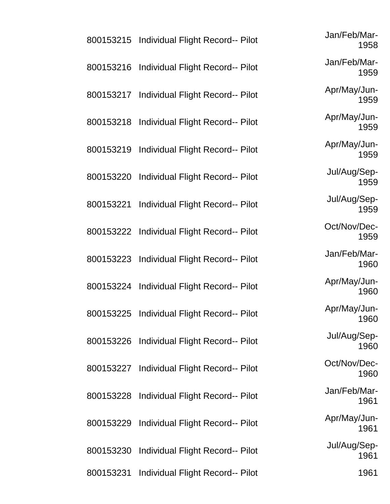|           | 800153215 Individual Flight Record-- Pilot | Jan/Feb/Mar-<br>1958 |
|-----------|--------------------------------------------|----------------------|
|           | 800153216 Individual Flight Record-- Pilot | Jan/Feb/Mar-<br>1959 |
|           | 800153217 Individual Flight Record-- Pilot | Apr/May/Jun-<br>1959 |
|           | 800153218 Individual Flight Record-- Pilot | Apr/May/Jun-<br>1959 |
|           | 800153219 Individual Flight Record-- Pilot | Apr/May/Jun-<br>1959 |
|           | 800153220 Individual Flight Record-- Pilot | Jul/Aug/Sep-<br>1959 |
|           | 800153221 Individual Flight Record-- Pilot | Jul/Aug/Sep-<br>1959 |
|           | 800153222 Individual Flight Record-- Pilot | Oct/Nov/Dec-<br>1959 |
|           | 800153223 Individual Flight Record-- Pilot | Jan/Feb/Mar-<br>1960 |
|           | 800153224 Individual Flight Record-- Pilot | Apr/May/Jun-<br>1960 |
| 800153225 | Individual Flight Record-- Pilot           | Apr/May/Jun-<br>1960 |
|           | 800153226 Individual Flight Record-- Pilot | Jul/Aug/Sep-<br>1960 |
|           | 800153227 Individual Flight Record-- Pilot | Oct/Nov/Dec-<br>1960 |
|           | 800153228 Individual Flight Record-- Pilot | Jan/Feb/Mar-<br>1961 |
|           | 800153229 Individual Flight Record-- Pilot | Apr/May/Jun-<br>1961 |
|           | 800153230 Individual Flight Record-- Pilot | Jul/Aug/Sep-<br>1961 |
|           | 800153231 Individual Flight Record-- Pilot | 1961                 |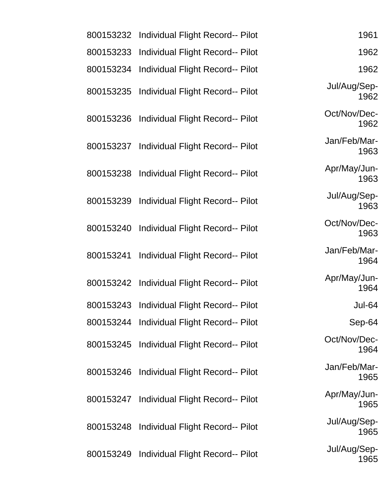| 1961                 | Individual Flight Record-- Pilot        | 800153232 |
|----------------------|-----------------------------------------|-----------|
| 1962                 | Individual Flight Record-- Pilot        | 800153233 |
| 1962                 | Individual Flight Record-- Pilot        | 800153234 |
| Jul/Aug/Sep-<br>1962 | <b>Individual Flight Record-- Pilot</b> | 800153235 |
| Oct/Nov/Dec-<br>1962 | Individual Flight Record-- Pilot        | 800153236 |
| Jan/Feb/Mar-<br>1963 | Individual Flight Record-- Pilot        | 800153237 |
| Apr/May/Jun-<br>1963 | Individual Flight Record-- Pilot        | 800153238 |
| Jul/Aug/Sep-<br>1963 | Individual Flight Record-- Pilot        | 800153239 |
| Oct/Nov/Dec-<br>1963 | Individual Flight Record-- Pilot        | 800153240 |
| Jan/Feb/Mar-<br>1964 | <b>Individual Flight Record-- Pilot</b> | 800153241 |
| Apr/May/Jun-<br>1964 | Individual Flight Record-- Pilot        | 800153242 |
| <b>Jul-64</b>        | Individual Flight Record-- Pilot        | 800153243 |
| Sep-64               | Individual Flight Record-- Pilot        | 800153244 |
| Oct/Nov/Dec-<br>1964 | Individual Flight Record-- Pilot        | 800153245 |
| Jan/Feb/Mar-<br>1965 | Individual Flight Record-- Pilot        | 800153246 |
| Apr/May/Jun-<br>1965 | Individual Flight Record-- Pilot        | 800153247 |
| Jul/Aug/Sep-<br>1965 | Individual Flight Record-- Pilot        | 800153248 |
| Jul/Aug/Sep-<br>1965 | <b>Individual Flight Record-- Pilot</b> | 800153249 |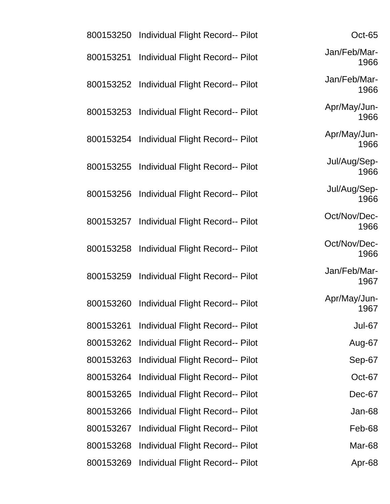| Oct-65               | 800153250 Individual Flight Record-- Pilot |           |
|----------------------|--------------------------------------------|-----------|
| Jan/Feb/Mar-<br>1966 | Individual Flight Record-- Pilot           | 800153251 |
| Jan/Feb/Mar-<br>1966 | <b>Individual Flight Record-- Pilot</b>    | 800153252 |
| Apr/May/Jun-<br>1966 | Individual Flight Record-- Pilot           | 800153253 |
| Apr/May/Jun-<br>1966 | Individual Flight Record-- Pilot           | 800153254 |
| Jul/Aug/Sep-<br>1966 | 800153255 Individual Flight Record-- Pilot |           |
| Jul/Aug/Sep-<br>1966 | Individual Flight Record-- Pilot           | 800153256 |
| Oct/Nov/Dec-<br>1966 | <b>Individual Flight Record-- Pilot</b>    | 800153257 |
| Oct/Nov/Dec-<br>1966 | 800153258 Individual Flight Record-- Pilot |           |
| Jan/Feb/Mar-<br>1967 | Individual Flight Record-- Pilot           | 800153259 |
| Apr/May/Jun-<br>1967 | Individual Flight Record-- Pilot           | 800153260 |
| Jul-67               | Individual Flight Record-- Pilot           | 800153261 |
| Aug-67               | Individual Flight Record-- Pilot           | 800153262 |
| Sep-67               | Individual Flight Record-- Pilot           | 800153263 |
| Oct-67               | <b>Individual Flight Record-- Pilot</b>    | 800153264 |
| Dec-67               | Individual Flight Record-- Pilot           | 800153265 |
| Jan-68               | Individual Flight Record-- Pilot           | 800153266 |
| Feb-68               | Individual Flight Record-- Pilot           | 800153267 |
| Mar-68               | Individual Flight Record-- Pilot           | 800153268 |
| Apr-68               | Individual Flight Record-- Pilot           | 800153269 |
|                      |                                            |           |